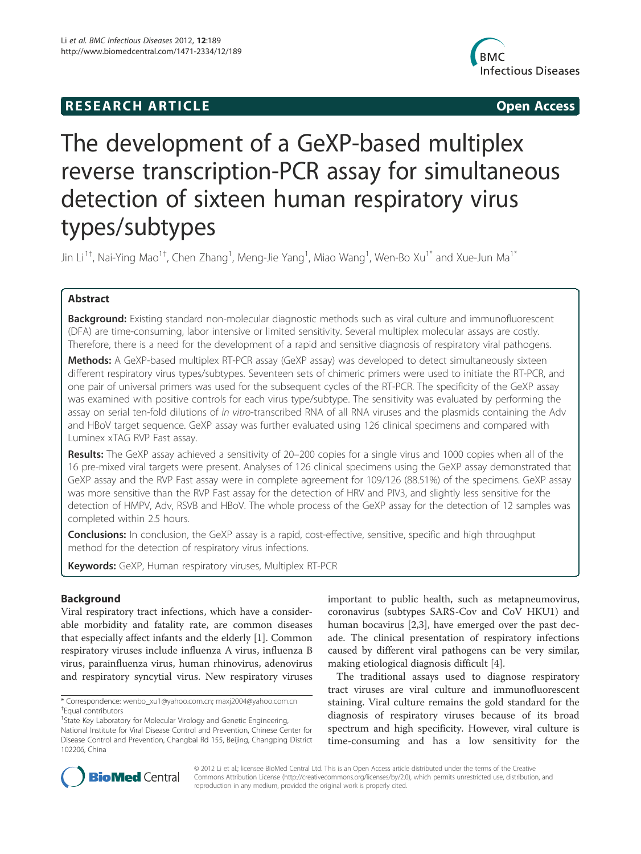## **RESEARCH ARTICLE Example 2018 12:00 Open Access**



# The development of a GeXP-based multiplex reverse transcription-PCR assay for simultaneous detection of sixteen human respiratory virus types/subtypes

Jin Li<sup>1†</sup>, Nai-Ying Mao<sup>1†</sup>, Chen Zhang<sup>1</sup>, Meng-Jie Yang<sup>1</sup>, Miao Wang<sup>1</sup>, Wen-Bo Xu<sup>1\*</sup> and Xue-Jun Ma<sup>1\*</sup>

## Abstract

**Background:** Existing standard non-molecular diagnostic methods such as viral culture and immunofluorescent (DFA) are time-consuming, labor intensive or limited sensitivity. Several multiplex molecular assays are costly. Therefore, there is a need for the development of a rapid and sensitive diagnosis of respiratory viral pathogens.

Methods: A GeXP-based multiplex RT-PCR assay (GeXP assay) was developed to detect simultaneously sixteen different respiratory virus types/subtypes. Seventeen sets of chimeric primers were used to initiate the RT-PCR, and one pair of universal primers was used for the subsequent cycles of the RT-PCR. The specificity of the GeXP assay was examined with positive controls for each virus type/subtype. The sensitivity was evaluated by performing the assay on serial ten-fold dilutions of in vitro-transcribed RNA of all RNA viruses and the plasmids containing the Adv and HBoV target sequence. GeXP assay was further evaluated using 126 clinical specimens and compared with Luminex xTAG RVP Fast assay.

Results: The GeXP assay achieved a sensitivity of 20-200 copies for a single virus and 1000 copies when all of the 16 pre-mixed viral targets were present. Analyses of 126 clinical specimens using the GeXP assay demonstrated that GeXP assay and the RVP Fast assay were in complete agreement for 109/126 (88.51%) of the specimens. GeXP assay was more sensitive than the RVP Fast assay for the detection of HRV and PIV3, and slightly less sensitive for the detection of HMPV, Adv, RSVB and HBoV. The whole process of the GeXP assay for the detection of 12 samples was completed within 2.5 hours.

**Conclusions:** In conclusion, the GeXP assay is a rapid, cost-effective, sensitive, specific and high throughput method for the detection of respiratory virus infections.

Keywords: GeXP, Human respiratory viruses, Multiplex RT-PCR

## Background

Viral respiratory tract infections, which have a considerable morbidity and fatality rate, are common diseases that especially affect infants and the elderly [1]. Common respiratory viruses include influenza A virus, influenza B virus, parainfluenza virus, human rhinovirus, adenovirus and respiratory syncytial virus. New respiratory viruses

important to public health, such as metapneumovirus, coronavirus (subtypes SARS-Cov and CoV HKU1) and human bocavirus [2,3], have emerged over the past decade. The clinical presentation of respiratory infections caused by different viral pathogens can be very similar, making etiological diagnosis difficult [4].

The traditional assays used to diagnose respiratory tract viruses are viral culture and immunofluorescent staining. Viral culture remains the gold standard for the diagnosis of respiratory viruses because of its broad spectrum and high specificity. However, viral culture is time-consuming and has a low sensitivity for the



© 2012 Li et al.; licensee BioMed Central Ltd. This is an Open Access article distributed under the terms of the Creative Commons Attribution License (http://creativecommons.org/licenses/by/2.0), which permits unrestricted use, distribution, and reproduction in any medium, provided the original work is properly cited.

<sup>\*</sup> Correspondence: wenbo\_xu1@yahoo.com.cn; maxj2004@yahoo.com.cn † Equal contributors

<sup>&</sup>lt;sup>1</sup>State Key Laboratory for Molecular Virology and Genetic Engineering, National Institute for Viral Disease Control and Prevention, Chinese Center for Disease Control and Prevention, Changbai Rd 155, Beijing, Changping District 102206, China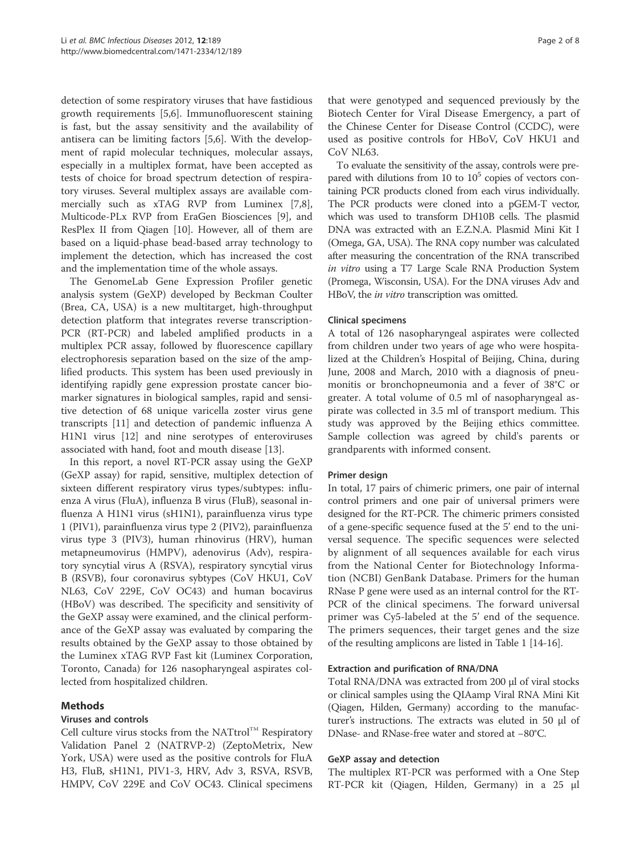detection of some respiratory viruses that have fastidious growth requirements [5,6]. Immunofluorescent staining is fast, but the assay sensitivity and the availability of antisera can be limiting factors [5,6]. With the development of rapid molecular techniques, molecular assays, especially in a multiplex format, have been accepted as tests of choice for broad spectrum detection of respiratory viruses. Several multiplex assays are available commercially such as xTAG RVP from Luminex [7,8], Multicode-PLx RVP from EraGen Biosciences [9], and ResPlex II from Qiagen [10]. However, all of them are based on a liquid-phase bead-based array technology to implement the detection, which has increased the cost and the implementation time of the whole assays.

The GenomeLab Gene Expression Profiler genetic analysis system (GeXP) developed by Beckman Coulter (Brea, CA, USA) is a new multitarget, high-throughput detection platform that integrates reverse transcription-PCR (RT-PCR) and labeled amplified products in a multiplex PCR assay, followed by fluorescence capillary electrophoresis separation based on the size of the amplified products. This system has been used previously in identifying rapidly gene expression prostate cancer biomarker signatures in biological samples, rapid and sensitive detection of 68 unique varicella zoster virus gene transcripts [11] and detection of pandemic influenza A H1N1 virus [12] and nine serotypes of enteroviruses associated with hand, foot and mouth disease [13].

In this report, a novel RT-PCR assay using the GeXP (GeXP assay) for rapid, sensitive, multiplex detection of sixteen different respiratory virus types/subtypes: influenza A virus (FluA), influenza B virus (FluB), seasonal influenza A H1N1 virus (sH1N1), parainfluenza virus type 1 (PIV1), parainfluenza virus type 2 (PIV2), parainfluenza virus type 3 (PIV3), human rhinovirus (HRV), human metapneumovirus (HMPV), adenovirus (Adv), respiratory syncytial virus A (RSVA), respiratory syncytial virus B (RSVB), four coronavirus sybtypes (CoV HKU1, CoV NL63, CoV 229E, CoV OC43) and human bocavirus (HBoV) was described. The specificity and sensitivity of the GeXP assay were examined, and the clinical performance of the GeXP assay was evaluated by comparing the results obtained by the GeXP assay to those obtained by the Luminex xTAG RVP Fast kit (Luminex Corporation, Toronto, Canada) for 126 nasopharyngeal aspirates collected from hospitalized children.

## **Methods**

## Viruses and controls

Cell culture virus stocks from the NATtrol<sup>TM</sup> Respiratory Validation Panel 2 (NATRVP-2) (ZeptoMetrix, New York, USA) were used as the positive controls for FluA H3, FluB, sH1N1, PIV1-3, HRV, Adv 3, RSVA, RSVB, HMPV, CoV 229E and CoV OC43. Clinical specimens that were genotyped and sequenced previously by the Biotech Center for Viral Disease Emergency, a part of the Chinese Center for Disease Control (CCDC), were used as positive controls for HBoV, CoV HKU1 and CoV NL63.

To evaluate the sensitivity of the assay, controls were prepared with dilutions from 10 to  $10<sup>5</sup>$  copies of vectors containing PCR products cloned from each virus individually. The PCR products were cloned into a pGEM-T vector, which was used to transform DH10B cells. The plasmid DNA was extracted with an E.Z.N.A. Plasmid Mini Kit I (Omega, GA, USA). The RNA copy number was calculated after measuring the concentration of the RNA transcribed in vitro using a T7 Large Scale RNA Production System (Promega, Wisconsin, USA). For the DNA viruses Adv and HBoV, the *in vitro* transcription was omitted.

## Clinical specimens

A total of 126 nasopharyngeal aspirates were collected from children under two years of age who were hospitalized at the Children's Hospital of Beijing, China, during June, 2008 and March, 2010 with a diagnosis of pneumonitis or bronchopneumonia and a fever of 38°C or greater. A total volume of 0.5 ml of nasopharyngeal aspirate was collected in 3.5 ml of transport medium. This study was approved by the Beijing ethics committee. Sample collection was agreed by child's parents or grandparents with informed consent.

## Primer design

In total, 17 pairs of chimeric primers, one pair of internal control primers and one pair of universal primers were designed for the RT-PCR. The chimeric primers consisted of a gene-specific sequence fused at the 5' end to the universal sequence. The specific sequences were selected by alignment of all sequences available for each virus from the National Center for Biotechnology Information (NCBI) GenBank Database. Primers for the human RNase P gene were used as an internal control for the RT-PCR of the clinical specimens. The forward universal primer was Cy5-labeled at the 5' end of the sequence. The primers sequences, their target genes and the size of the resulting amplicons are listed in Table 1 [14-16].

#### Extraction and purification of RNA/DNA

Total RNA/DNA was extracted from 200 μl of viral stocks or clinical samples using the QIAamp Viral RNA Mini Kit (Qiagen, Hilden, Germany) according to the manufacturer's instructions. The extracts was eluted in 50 μl of DNase- and RNase-free water and stored at −80°C.

#### GeXP assay and detection

The multiplex RT-PCR was performed with a One Step RT-PCR kit (Qiagen, Hilden, Germany) in a 25 μl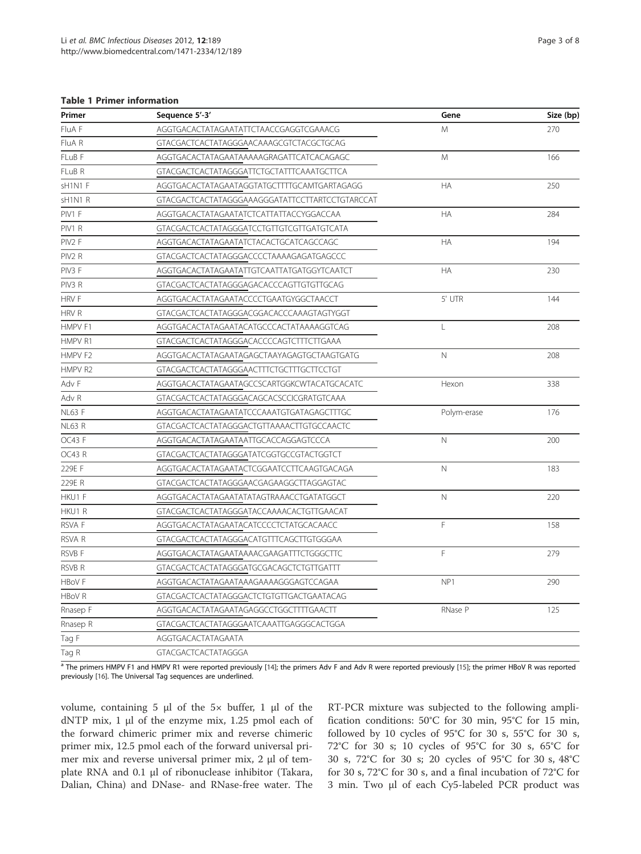#### Table 1 Primer information

| Primer             | Sequence 5'-3'                                       | Gene         | Size (bp) |
|--------------------|------------------------------------------------------|--------------|-----------|
| FluA F             | AGGTGACACTATAGAATATTCTAACCGAGGTCGAAACG               | M            | 270       |
| FluA R             | GTACGACTCACTATAGGGAACAAAGCGTCTACGCTGCAG              |              |           |
| FLuB F             | AGGTGACACTATAGAATAAAAAGRAGATTCATCACAGAGC             | M            | 166       |
| FLuB R             | GTACGACTCACTATAGGGATTCTGCTATTTCAAATGCTTCA            |              |           |
| sH1N1 F            | AGGTGACACTATAGAATAGGTATGCTTTTGCAMTGARTAGAGG          | HA           | 250       |
| sH1N1 R            | GTACGACTCACTATAGGGAAAGGGATATTCCTTARTCCTGTARCCAT      |              |           |
| PIV1 F             | AGGTGACACTATAGAATATCTCATTATTACCYGGACCAA              | HA           | 284       |
| PIV1 R             | GTACGACTCACTATAGGGATCCTGTTGTCGTTGATGTCATA            |              |           |
| PIV2 F             | AGGTGACACTATAGAATATCTACACTGCATCAGCCAGC               | HA           | 194       |
| PIV <sub>2</sub> R | GTACGACTCACTATAGGGACCCCTAAAAGAGATGAGCCC              |              |           |
| PIV <sub>3</sub> F | AGGTGACACTATAGAATATTGTCAATTATGATGGYTCAATCT           | <b>HA</b>    | 230       |
| PIV3 R             | GTACGACTCACTATAGGGAGACACCCAGTTGTGTTGCAG              |              |           |
| <b>HRVF</b>        | AGGTGACACTATAGAATACCCCTGAATGYGGCTAACCT               | 5' UTR       | 144       |
| HRV R              | GTACGACTCACTATAGGGACGGACACCCAAAGTAGTYGGT             |              |           |
| HMPV F1            | AGGTGACACTATAGAATACATGCCCACTATAAAAGGTCAG             | $\mathsf L$  | 208       |
| HMPV R1            | GTACGACTCACTATAGGGACACCCCAGTCTTTCTTGAAA              |              |           |
| HMPV F2            | AGGTGACACTATAGAATAGAGCTAAYAGAGTGCTAAGTGATG           | $\mathsf{N}$ | 208       |
| HMPV R2            | GTACGACTCACTATAGGGAACTTTCTGCTTTGCTTCCTGT             |              |           |
| Adv F              | AGGTGACACTATAGAATAGCCSCARTGGKCWTACATGCACATC          | Hexon        | 338       |
| Adv R              | GTACGACTCACTATAGGGACAGCACSCCICGRATGTCAAA             |              |           |
| <b>NL63 F</b>      | AGGTGACACTATAGAATATCCCAAATGTGATAGAGCTTTGC            | Polym-erase  | 176       |
| <b>NL63 R</b>      | GTACGACTCACTATAGGGACTGTTAAAACTTGTGCCAACTC            |              |           |
| OC43 F             | $\mathsf{N}$<br>AGGTGACACTATAGAATAATTGCACCAGGAGTCCCA |              | 200       |
| OC43R              | GTACGACTCACTATAGGGATATCGGTGCCGTACTGGTCT              |              |           |
| 229E F             | AGGTGACACTATAGAATACTCGGAATCCTTCAAGTGACAGA            | $\mathbb N$  | 183       |
| 229E R             | GTACGACTCACTATAGGGAACGAGAAGGCTTAGGAGTAC              |              |           |
| HKU1 F             | AGGTGACACTATAGAATATATAGTRAAACCTGATATGGCT             | $\mathsf{N}$ | 220       |
| HKU1 R             | GTACGACTCACTATAGGGATACCAAAACACTGTTGAACAT             |              |           |
| <b>RSVAF</b>       | AGGTGACACTATAGAATACATCCCCTCTATGCACAACC               | F            | 158       |
| RSVA R             | GTACGACTCACTATAGGGACATGTTTCAGCTTGTGGGAA              |              |           |
| RSVB F             | AGGTGACACTATAGAATAAAACGAAGATTTCTGGGCTTC              | F            | 279       |
| <b>RSVB R</b>      | GTACGACTCACTATAGGGATGCGACAGCTCTGTTGATTT              |              |           |
| HBoV F             | AGGTGACACTATAGAATAAAGAAAAGGGAGTCCAGAA                | NP1          | 290       |
| <b>HBoVR</b>       | GTACGACTCACTATAGGGACTCTGTGTTGACTGAATACAG             |              |           |
| Rnasep F           | AGGTGACACTATAGAATAGAGGCCTGGCTTTTGAACTT               | RNase P      | 125       |
| Rnasep R           | GTACGACTCACTATAGGGAATCAAATTGAGGGCACTGGA              |              |           |
| Tag F              | AGGTGACACTATAGAATA                                   |              |           |
| Tag R              | GTACGACTCACTATAGGGA                                  |              |           |

a The primers HMPV F1 and HMPV R1 were reported previously [14]; the primers Adv F and Adv R were reported previously [15]; the primer HBoV R was reported previously [16]. The Universal Tag sequences are underlined.

volume, containing 5 μl of the 5× buffer, 1 μl of the dNTP mix, 1 μl of the enzyme mix, 1.25 pmol each of the forward chimeric primer mix and reverse chimeric primer mix, 12.5 pmol each of the forward universal primer mix and reverse universal primer mix, 2 μl of template RNA and 0.1 μl of ribonuclease inhibitor (Takara, Dalian, China) and DNase- and RNase-free water. The RT-PCR mixture was subjected to the following amplification conditions: 50°C for 30 min, 95°C for 15 min, followed by 10 cycles of 95°C for 30 s, 55°C for 30 s, 72°C for 30 s; 10 cycles of 95°C for 30 s, 65°C for 30 s, 72°C for 30 s; 20 cycles of 95°C for 30 s, 48°C for 30 s, 72°C for 30 s, and a final incubation of 72°C for 3 min. Two μl of each Cy5-labeled PCR product was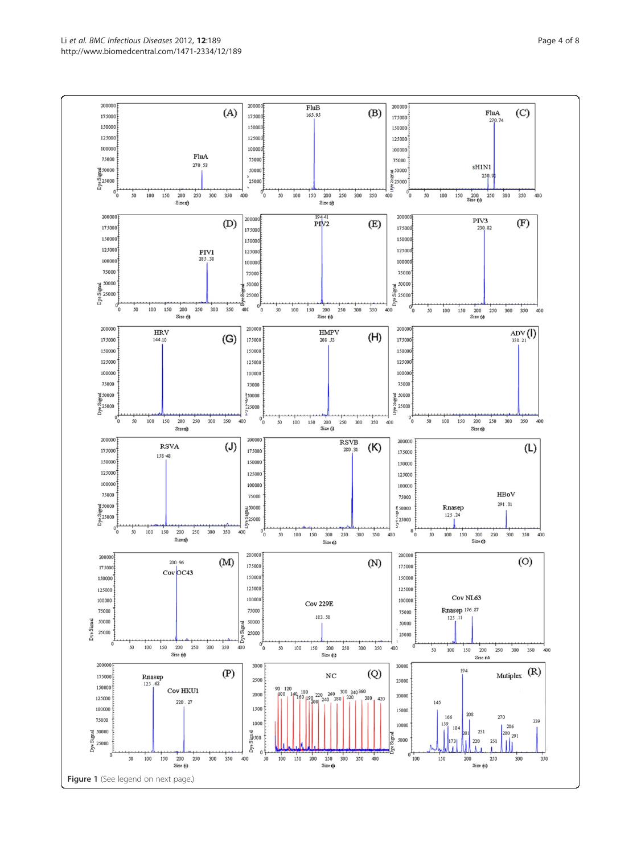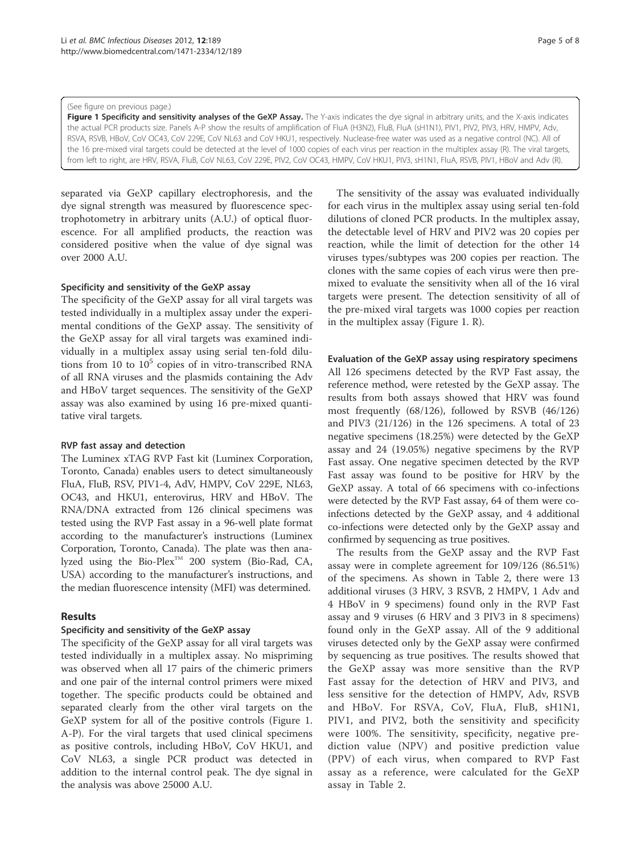#### (See figure on previous page.)

Figure 1 Specificity and sensitivity analyses of the GeXP Assay. The Y-axis indicates the dye signal in arbitrary units, and the X-axis indicates the actual PCR products size. Panels A-P show the results of amplification of FluA (H3N2), FluB, FluA (sH1N1), PIV1, PIV2, PIV3, HRV, HMPV, Adv, RSVA, RSVB, HBoV, CoV OC43, CoV 229E, CoV NL63 and CoV HKU1, respectively. Nuclease-free water was used as a negative control (NC). All of the 16 pre-mixed viral targets could be detected at the level of 1000 copies of each virus per reaction in the multiplex assay (R). The viral targets, from left to right, are HRV, RSVA, FluB, CoV NL63, CoV 229E, PIV2, CoV OC43, HMPV, CoV HKU1, PIV3, sH1N1, FluA, RSVB, PIV1, HBoV and Adv (R).

separated via GeXP capillary electrophoresis, and the dye signal strength was measured by fluorescence spectrophotometry in arbitrary units (A.U.) of optical fluorescence. For all amplified products, the reaction was considered positive when the value of dye signal was over 2000 A.U.

#### Specificity and sensitivity of the GeXP assay

The specificity of the GeXP assay for all viral targets was tested individually in a multiplex assay under the experimental conditions of the GeXP assay. The sensitivity of the GeXP assay for all viral targets was examined individually in a multiplex assay using serial ten-fold dilutions from 10 to  $10<sup>5</sup>$  copies of in vitro-transcribed RNA of all RNA viruses and the plasmids containing the Adv and HBoV target sequences. The sensitivity of the GeXP assay was also examined by using 16 pre-mixed quantitative viral targets.

## RVP fast assay and detection

The Luminex xTAG RVP Fast kit (Luminex Corporation, Toronto, Canada) enables users to detect simultaneously FluA, FluB, RSV, PIV1-4, AdV, HMPV, CoV 229E, NL63, OC43, and HKU1, enterovirus, HRV and HBoV. The RNA/DNA extracted from 126 clinical specimens was tested using the RVP Fast assay in a 96-well plate format according to the manufacturer's instructions (Luminex Corporation, Toronto, Canada). The plate was then analyzed using the Bio-Plex<sup>TM</sup> 200 system (Bio-Rad, CA, USA) according to the manufacturer's instructions, and the median fluorescence intensity (MFI) was determined.

## Results

## Specificity and sensitivity of the GeXP assay

The specificity of the GeXP assay for all viral targets was tested individually in a multiplex assay. No mispriming was observed when all 17 pairs of the chimeric primers and one pair of the internal control primers were mixed together. The specific products could be obtained and separated clearly from the other viral targets on the GeXP system for all of the positive controls (Figure 1. A-P). For the viral targets that used clinical specimens as positive controls, including HBoV, CoV HKU1, and CoV NL63, a single PCR product was detected in addition to the internal control peak. The dye signal in the analysis was above 25000 A.U.

The sensitivity of the assay was evaluated individually for each virus in the multiplex assay using serial ten-fold dilutions of cloned PCR products. In the multiplex assay, the detectable level of HRV and PIV2 was 20 copies per reaction, while the limit of detection for the other 14 viruses types/subtypes was 200 copies per reaction. The clones with the same copies of each virus were then premixed to evaluate the sensitivity when all of the 16 viral targets were present. The detection sensitivity of all of the pre-mixed viral targets was 1000 copies per reaction in the multiplex assay (Figure 1. R).

## Evaluation of the GeXP assay using respiratory specimens

All 126 specimens detected by the RVP Fast assay, the reference method, were retested by the GeXP assay. The results from both assays showed that HRV was found most frequently (68/126), followed by RSVB (46/126) and PIV3 (21/126) in the 126 specimens. A total of 23 negative specimens (18.25%) were detected by the GeXP assay and 24 (19.05%) negative specimens by the RVP Fast assay. One negative specimen detected by the RVP Fast assay was found to be positive for HRV by the GeXP assay. A total of 66 specimens with co-infections were detected by the RVP Fast assay, 64 of them were coinfections detected by the GeXP assay, and 4 additional co-infections were detected only by the GeXP assay and confirmed by sequencing as true positives.

The results from the GeXP assay and the RVP Fast assay were in complete agreement for 109/126 (86.51%) of the specimens. As shown in Table 2, there were 13 additional viruses (3 HRV, 3 RSVB, 2 HMPV, 1 Adv and 4 HBoV in 9 specimens) found only in the RVP Fast assay and 9 viruses (6 HRV and 3 PIV3 in 8 specimens) found only in the GeXP assay. All of the 9 additional viruses detected only by the GeXP assay were confirmed by sequencing as true positives. The results showed that the GeXP assay was more sensitive than the RVP Fast assay for the detection of HRV and PIV3, and less sensitive for the detection of HMPV, Adv, RSVB and HBoV. For RSVA, CoV, FluA, FluB, sH1N1, PIV1, and PIV2, both the sensitivity and specificity were 100%. The sensitivity, specificity, negative prediction value (NPV) and positive prediction value (PPV) of each virus, when compared to RVP Fast assay as a reference, were calculated for the GeXP assay in Table 2.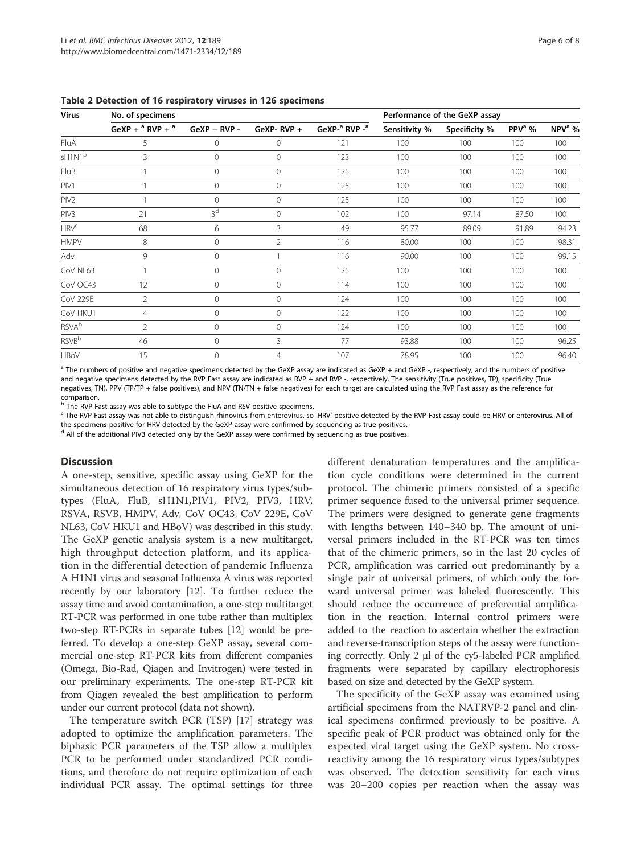| <b>Virus</b>        | No. of specimens     |                |                |                                       |               | Performance of the GeXP assay |                    |          |
|---------------------|----------------------|----------------|----------------|---------------------------------------|---------------|-------------------------------|--------------------|----------|
|                     | GeXP + $a$ RVP + $a$ | $GeVP + RVP -$ | GeXP-RVP $+$   | GeXP- <sup>a</sup> RVP - <sup>a</sup> | Sensitivity % | Specificity %                 | PPV <sup>a</sup> % | $NPVa$ % |
| FluA                | 5                    | $\overline{0}$ | $\mathbf 0$    | 121                                   | 100           | 100                           | 100                | 100      |
| $sH1N1^b$           | 3                    | $\mathbf 0$    | $\Omega$       | 123                                   | 100           | 100                           | 100                | 100      |
| <b>FluB</b>         |                      | $\circ$        | $\Omega$       | 125                                   | 100           | 100                           | 100                | 100      |
| PIV1                |                      | $\mathbf 0$    | 0              | 125                                   | 100           | 100                           | 100                | 100      |
| PIV <sub>2</sub>    |                      | $\mathbf{0}$   | 0              | 125                                   | 100           | 100                           | 100                | 100      |
| PIV3                | 21                   | 3 <sup>d</sup> | 0              | 102                                   | 100           | 97.14                         | 87.50              | 100      |
| ${\sf HRV}^{\tt C}$ | 68                   | 6              | 3              | 49                                    | 95.77         | 89.09                         | 91.89              | 94.23    |
| <b>HMPV</b>         | 8                    | $\mathbf 0$    | $\overline{2}$ | 116                                   | 80.00         | 100                           | 100                | 98.31    |
| Adv                 | 9                    | $\overline{0}$ |                | 116                                   | 90.00         | 100                           | 100                | 99.15    |
| CoV NL63            |                      | $\mathbf 0$    | $\Omega$       | 125                                   | 100           | 100                           | 100                | 100      |
| CoV OC43            | 12                   | $\mathbf 0$    | $\Omega$       | 114                                   | 100           | 100                           | 100                | 100      |
| <b>CoV 229E</b>     | $\overline{2}$       | $\mathbf{0}$   | $\Omega$       | 124                                   | 100           | 100                           | 100                | 100      |
| CoV HKU1            | $\overline{4}$       | $\overline{0}$ | $\Omega$       | 122                                   | 100           | 100                           | 100                | 100      |
| <b>RSVA</b> b       | $\overline{2}$       | $\mathbf{0}$   | $\Omega$       | 124                                   | 100           | 100                           | 100                | 100      |
| $RSVB^b$            | 46                   | $\circ$        | 3              | 77                                    | 93.88         | 100                           | 100                | 96.25    |
| <b>HBoV</b>         | 15                   | $\overline{0}$ | $\overline{4}$ | 107                                   | 78.95         | 100                           | 100                | 96.40    |

Table 2 Detection of 16 respiratory viruses in 126 specimens

 $a$  The numbers of positive and negative specimens detected by the GeXP assay are indicated as GeXP + and GeXP -, respectively, and the numbers of positive and negative specimens detected by the RVP Fast assay are indicated as RVP + and RVP -, respectively. The sensitivity (True positives, TP), specificity (True negatives, TN), PPV (TP/TP + false positives), and NPV (TN/TN + false negatives) for each target are calculated using the RVP Fast assay as the reference for comparison.

b The RVP Fast assay was able to subtype the FluA and RSV positive specimens.

<sup>c</sup> The RVP Fast assay was not able to distinguish rhinovirus from enterovirus, so 'HRV' positive detected by the RVP Fast assay could be HRV or enterovirus. All of

the specimens positive for HRV detected by the GeXP assay were confirmed by sequencing as true positives.

 $<sup>d</sup>$  All of the additional PIV3 detected only by the GeXP assay were confirmed by sequencing as true positives.</sup>

## Discussion

A one-step, sensitive, specific assay using GeXP for the simultaneous detection of 16 respiratory virus types/subtypes (FluA, FluB, sH1N1,PIV1, PIV2, PIV3, HRV, RSVA, RSVB, HMPV, Adv, CoV OC43, CoV 229E, CoV NL63, CoV HKU1 and HBoV) was described in this study. The GeXP genetic analysis system is a new multitarget, high throughput detection platform, and its application in the differential detection of pandemic Influenza A H1N1 virus and seasonal Influenza A virus was reported recently by our laboratory [12]. To further reduce the assay time and avoid contamination, a one-step multitarget RT-PCR was performed in one tube rather than multiplex two-step RT-PCRs in separate tubes [12] would be preferred. To develop a one-step GeXP assay, several commercial one-step RT-PCR kits from different companies (Omega, Bio-Rad, Qiagen and Invitrogen) were tested in our preliminary experiments. The one-step RT-PCR kit from Qiagen revealed the best amplification to perform under our current protocol (data not shown).

The temperature switch PCR (TSP) [17] strategy was adopted to optimize the amplification parameters. The biphasic PCR parameters of the TSP allow a multiplex PCR to be performed under standardized PCR conditions, and therefore do not require optimization of each individual PCR assay. The optimal settings for three different denaturation temperatures and the amplification cycle conditions were determined in the current protocol. The chimeric primers consisted of a specific primer sequence fused to the universal primer sequence. The primers were designed to generate gene fragments with lengths between 140–340 bp. The amount of universal primers included in the RT-PCR was ten times that of the chimeric primers, so in the last 20 cycles of PCR, amplification was carried out predominantly by a single pair of universal primers, of which only the forward universal primer was labeled fluorescently. This should reduce the occurrence of preferential amplification in the reaction. Internal control primers were added to the reaction to ascertain whether the extraction and reverse-transcription steps of the assay were functioning correctly. Only 2 μl of the cy5-labeled PCR amplified fragments were separated by capillary electrophoresis based on size and detected by the GeXP system.

The specificity of the GeXP assay was examined using artificial specimens from the NATRVP-2 panel and clinical specimens confirmed previously to be positive. A specific peak of PCR product was obtained only for the expected viral target using the GeXP system. No crossreactivity among the 16 respiratory virus types/subtypes was observed. The detection sensitivity for each virus was 20–200 copies per reaction when the assay was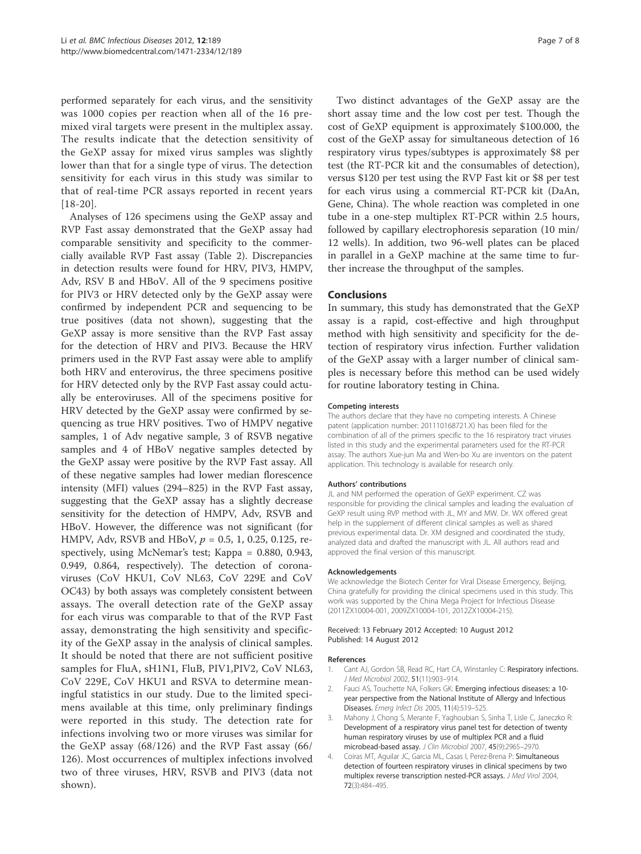performed separately for each virus, and the sensitivity was 1000 copies per reaction when all of the 16 premixed viral targets were present in the multiplex assay. The results indicate that the detection sensitivity of the GeXP assay for mixed virus samples was slightly lower than that for a single type of virus. The detection sensitivity for each virus in this study was similar to that of real-time PCR assays reported in recent years [18-20].

Analyses of 126 specimens using the GeXP assay and RVP Fast assay demonstrated that the GeXP assay had comparable sensitivity and specificity to the commercially available RVP Fast assay (Table 2). Discrepancies in detection results were found for HRV, PIV3, HMPV, Adv, RSV B and HBoV. All of the 9 specimens positive for PIV3 or HRV detected only by the GeXP assay were confirmed by independent PCR and sequencing to be true positives (data not shown), suggesting that the GeXP assay is more sensitive than the RVP Fast assay for the detection of HRV and PIV3. Because the HRV primers used in the RVP Fast assay were able to amplify both HRV and enterovirus, the three specimens positive for HRV detected only by the RVP Fast assay could actually be enteroviruses. All of the specimens positive for HRV detected by the GeXP assay were confirmed by sequencing as true HRV positives. Two of HMPV negative samples, 1 of Adv negative sample, 3 of RSVB negative samples and 4 of HBoV negative samples detected by the GeXP assay were positive by the RVP Fast assay. All of these negative samples had lower median florescence intensity (MFI) values (294–825) in the RVP Fast assay, suggesting that the GeXP assay has a slightly decrease sensitivity for the detection of HMPV, Adv, RSVB and HBoV. However, the difference was not significant (for HMPV, Adv, RSVB and HBoV,  $p = 0.5, 1, 0.25, 0.125$ , respectively, using McNemar's test; Kappa = 0.880, 0.943, 0.949, 0.864, respectively). The detection of coronaviruses (CoV HKU1, CoV NL63, CoV 229E and CoV OC43) by both assays was completely consistent between assays. The overall detection rate of the GeXP assay for each virus was comparable to that of the RVP Fast assay, demonstrating the high sensitivity and specificity of the GeXP assay in the analysis of clinical samples. It should be noted that there are not sufficient positive samples for FluA, sH1N1, FluB, PIV1,PIV2, CoV NL63, CoV 229E, CoV HKU1 and RSVA to determine meaningful statistics in our study. Due to the limited specimens available at this time, only preliminary findings were reported in this study. The detection rate for infections involving two or more viruses was similar for the GeXP assay (68/126) and the RVP Fast assay (66/ 126). Most occurrences of multiplex infections involved two of three viruses, HRV, RSVB and PIV3 (data not shown).

Two distinct advantages of the GeXP assay are the short assay time and the low cost per test. Though the cost of GeXP equipment is approximately \$100.000, the cost of the GeXP assay for simultaneous detection of 16 respiratory virus types/subtypes is approximately \$8 per test (the RT-PCR kit and the consumables of detection), versus \$120 per test using the RVP Fast kit or \$8 per test for each virus using a commercial RT-PCR kit (DaAn, Gene, China). The whole reaction was completed in one tube in a one-step multiplex RT-PCR within 2.5 hours, followed by capillary electrophoresis separation (10 min/ 12 wells). In addition, two 96-well plates can be placed in parallel in a GeXP machine at the same time to further increase the throughput of the samples.

## **Conclusions**

In summary, this study has demonstrated that the GeXP assay is a rapid, cost-effective and high throughput method with high sensitivity and specificity for the detection of respiratory virus infection. Further validation of the GeXP assay with a larger number of clinical samples is necessary before this method can be used widely for routine laboratory testing in China.

#### Competing interests

The authors declare that they have no competing interests. A Chinese patent (application number: 201110168721.X) has been filed for the combination of all of the primers specific to the 16 respiratory tract viruses listed in this study and the experimental parameters used for the RT-PCR assay. The authors Xue-jun Ma and Wen-bo Xu are inventors on the patent application. This technology is available for research only.

#### Authors' contributions

JL and NM performed the operation of GeXP experiment. CZ was responsible for providing the clinical samples and leading the evaluation of GeXP result using RVP method with JL, MY and MW. Dr. WX offered great help in the supplement of different clinical samples as well as shared previous experimental data. Dr. XM designed and coordinated the study, analyzed data and drafted the manuscript with JL. All authors read and approved the final version of this manuscript.

#### Acknowledgements

We acknowledge the Biotech Center for Viral Disease Emergency, Beijing, China gratefully for providing the clinical specimens used in this study. This work was supported by the China Mega Project for Infectious Disease (2011ZX10004-001, 2009ZX10004-101, 2012ZX10004-215).

#### Received: 13 February 2012 Accepted: 10 August 2012 Published: 14 August 2012

#### References

- Cant AJ, Gordon SB, Read RC, Hart CA, Winstanley C: Respiratory infections. J Med Microbiol 2002, 51(11):903–914.
- 2. Fauci AS, Touchette NA, Folkers GK: Emerging infectious diseases: a 10year perspective from the National Institute of Allergy and Infectious Diseases. Emerg Infect Dis 2005, 11(4):519–525.
- 3. Mahony J, Chong S, Merante F, Yaghoubian S, Sinha T, Lisle C, Janeczko R: Development of a respiratory virus panel test for detection of twenty human respiratory viruses by use of multiplex PCR and a fluid microbead-based assay. J Clin Microbiol 2007, 45(9):2965–2970.
- 4. Coiras MT, Aguilar JC, Garcia ML, Casas I, Perez-Brena P: Simultaneous detection of fourteen respiratory viruses in clinical specimens by two multiplex reverse transcription nested-PCR assays. J Med Virol 2004, 72(3):484–495.